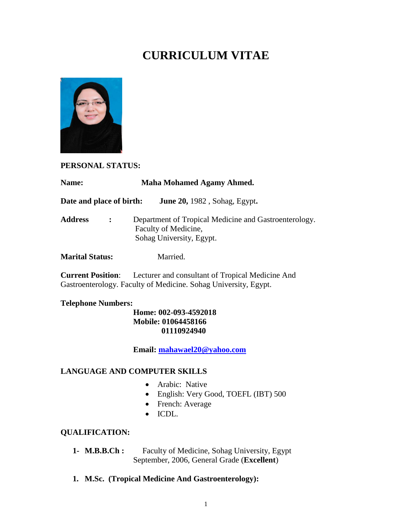# **CURRICULUM VITAE**



#### **PERSONAL STATUS:**

| <b>Name:</b>                     | Maha Mohamed Agamy Ahmed.                                                                                 |
|----------------------------------|-----------------------------------------------------------------------------------------------------------|
| Date and place of birth:         | <b>June 20, 1982</b> , Sohag, Egypt.                                                                      |
| <b>Address</b><br>$\ddot{\cdot}$ | Department of Tropical Medicine and Gastroenterology.<br>Faculty of Medicine,<br>Sohag University, Egypt. |
| <b>Marital Status:</b>           | Married.                                                                                                  |
| <b>Current Position:</b>         | Lecturer and consultant of Tropical Medicine And                                                          |

Gastroenterology. Faculty of Medicine. Sohag University, Egypt.

### **Telephone Numbers:**

#### **Home: 002-093-4592018 Mobile: 01064458166 01110924940**

**Email: [mahawael20@yahoo.com](mailto:mahawael20@yahoo.com)**

#### **LANGUAGE AND COMPUTER SKILLS**

- Arabic: Native
- English: Very Good, TOEFL (IBT) 500
- French: Average
- ICDL.

# **QUALIFICATION:**

- **1- M.B.B.Ch :** Faculty of Medicine, Sohag University, Egypt September, 2006, General Grade (**Excellent**)
- **1. M.Sc. (Tropical Medicine And Gastroenterology):**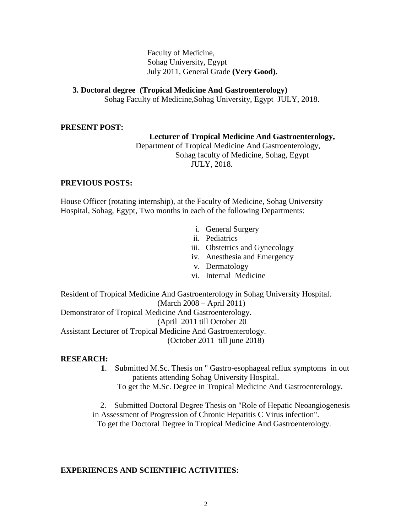Faculty of Medicine, Sohag University, Egypt July 2011, General Grade **(Very Good).**

**3. Doctoral degree (Tropical Medicine And Gastroenterology)** 

Sohag Faculty of Medicine,Sohag University, Egypt JULY, 2018.

#### **PRESENT POST:**

#### **Lecturer of Tropical Medicine And Gastroenterology,**

 Department of Tropical Medicine And Gastroenterology, Sohag faculty of Medicine, Sohag, Egypt JULY, 2018.

#### **PREVIOUS POSTS:**

House Officer (rotating internship), at the Faculty of Medicine, Sohag University Hospital, Sohag, Egypt, Two months in each of the following Departments:

- i. General Surgery
- ii. Pediatrics
- iii. Obstetrics and Gynecology
- iv. Anesthesia and Emergency
- v. Dermatology
- vi. Internal Medicine

Resident of Tropical Medicine And Gastroenterology in Sohag University Hospital. (March 2008 – April 2011) Demonstrator of Tropical Medicine And Gastroenterology. (April 2011 till October 20 Assistant Lecturer of Tropical Medicine And Gastroenterology. (October 2011 till june 2018)

#### **RESEARCH:**

- **1**. Submitted M.Sc. Thesis on " Gastro-esophageal reflux symptoms in out patients attending Sohag University Hospital.
	- To get the M.Sc. Degree in Tropical Medicine And Gastroenterology.

 2. Submitted Doctoral Degree Thesis on "Role of Hepatic Neoangiogenesis in Assessment of Progression of Chronic Hepatitis C Virus infection". To get the Doctoral Degree in Tropical Medicine And Gastroenterology.

#### **EXPERIENCES AND SCIENTIFIC ACTIVITIES:**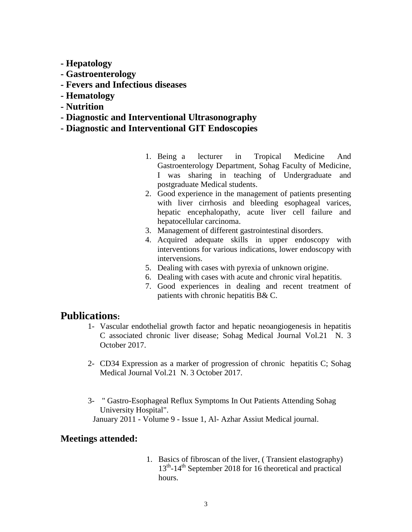- **- Hepatology**
- **- Gastroenterology**
- **- Fevers and Infectious diseases**
- **- Hematology**
- **- Nutrition**
- **- Diagnostic and Interventional Ultrasonography**
- **- Diagnostic and Interventional GIT Endoscopies**
	- 1. Being a lecturer in Tropical Medicine And Gastroenterology Department, Sohag Faculty of Medicine, I was sharing in teaching of Undergraduate and postgraduate Medical students.
	- 2. Good experience in the management of patients presenting with liver cirrhosis and bleeding esophageal varices, hepatic encephalopathy, acute liver cell failure and hepatocellular carcinoma.
	- 3. Management of different gastrointestinal disorders.
	- 4. Acquired adequate skills in upper endoscopy with interventions for various indications, lower endoscopy with intervensions.
	- 5. Dealing with cases with pyrexia of unknown origine.
	- 6. Dealing with cases with acute and chronic viral hepatitis.
	- 7. Good experiences in dealing and recent treatment of patients with chronic hepatitis B& C.

# **Publications:**

- 1- Vascular endothelial growth factor and hepatic neoangiogenesis in hepatitis C associated chronic liver disease; Sohag Medical Journal Vol.21 N. 3 October 2017.
- 2- CD34 Expression as a marker of progression of chronic hepatitis C; Sohag Medical Journal Vol.21 N. 3 October 2017.
- 3- " Gastro-Esophageal Reflux Symptoms In Out Patients Attending Sohag University Hospital". January 2011 - Volume 9 - Issue 1, Al- Azhar Assiut Medical journal.

## **Meetings attended:**

1. Basics of fibroscan of the liver, ( Transient elastography) 13<sup>th</sup>-14<sup>th</sup> September 2018 for 16 theoretical and practical hours.